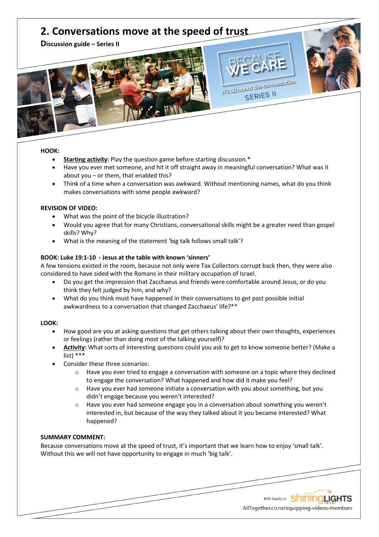# **2. Conversations move at the speed of trust**

**Discussion guide – Series II**



#### **HOOK:**

- **Starting activity:** Play the question game before starting discussion.\*
- Have you ever met someone, and hit it off straight away in meaningful conversation? What was it about you – or them, that enabled this?

It's all about the conversation SERIES II

• Think of a time when a conversation was awkward. Without mentioning names, what do you think makes conversations with some people awkward?

#### **REVISION OF VIDEO:**

- What was the point of the bicycle illustration?
- Would you agree that for many Christians, conversational skills might be a greater need than gospel skills? Why?
- What is the meaning of the statement 'big talk follows small talk'?

#### **BOOK: Luke 19:1-10 - Jesus at the table with known 'sinners'**

A few tensions existed in the room, because not only were Tax Collectors corrupt back then, they were also considered to have sided with the Romans in their military occupation of Israel.

- Do you get the impression that Zacchaeus and friends were comfortable around Jesus, or do you think they felt judged by him, and why?
- What do you think must have happened in their conversations to get past possible initial awkwardness to a conversation that changed Zacchaeus' life?\*\*

#### **LOOK:**

- How good are you at asking questions that get others talking about their own thoughts, experiences or feelings (rather than doing most of the talking yourself)?
- **Activity:** What sorts of interesting questions could you ask to get to know someone better? (Make a list) \*\*\*
- Consider these three scenarios:
	- $\circ$  Have you ever tried to engage a conversation with someone on a topic where they declined to engage the conversation? What happened and how did it make you feel?
	- o Have you ever had someone initiate a conversation with you about something, but you didn't engage because you weren't interested?
	- $\circ$  Have you ever had someone engage you in a conversation about something you weren't interested in, but because of the way they talked about it you became interested? What happened?

### **SUMMARY COMMENT:**

Because conversations move at the speed of trust, it's important that we learn how to enjoy 'small talk'. Without this we will not have opportunity to engage in much 'big talk'.